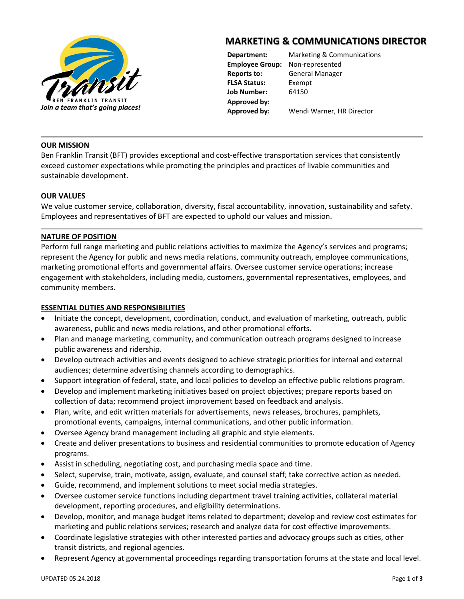

# **MARKETING & COMMUNICATIONS DIRECTOR**

**FLSA Status:** Exempt **Job Number:** 64150 **Approved by:**

**Department:** Marketing & Communications **Employee Group:** Non-represented **Reports to:** General Manager

## **OUR MISSION**

Ben Franklin Transit (BFT) provides exceptional and cost-effective transportation services that consistently exceed customer expectations while promoting the principles and practices of livable communities and sustainable development.

## **OUR VALUES**

We value customer service, collaboration, diversity, fiscal accountability, innovation, sustainability and safety. Employees and representatives of BFT are expected to uphold our values and mission.

## **NATURE OF POSITION**

Perform full range marketing and public relations activities to maximize the Agency's services and programs; represent the Agency for public and news media relations, community outreach, employee communications, marketing promotional efforts and governmental affairs. Oversee customer service operations; increase engagement with stakeholders, including media, customers, governmental representatives, employees, and community members.

## **ESSENTIAL DUTIES AND RESPONSIBILITIES**

- Initiate the concept, development, coordination, conduct, and evaluation of marketing, outreach, public awareness, public and news media relations, and other promotional efforts.
- Plan and manage marketing, community, and communication outreach programs designed to increase public awareness and ridership.
- Develop outreach activities and events designed to achieve strategic priorities for internal and external audiences; determine advertising channels according to demographics.
- Support integration of federal, state, and local policies to develop an effective public relations program.
- Develop and implement marketing initiatives based on project objectives; prepare reports based on collection of data; recommend project improvement based on feedback and analysis.
- Plan, write, and edit written materials for advertisements, news releases, brochures, pamphlets, promotional events, campaigns, internal communications, and other public information.
- Oversee Agency brand management including all graphic and style elements.
- Create and deliver presentations to business and residential communities to promote education of Agency programs.
- Assist in scheduling, negotiating cost, and purchasing media space and time.
- Select, supervise, train, motivate, assign, evaluate, and counsel staff; take corrective action as needed.
- Guide, recommend, and implement solutions to meet social media strategies.
- Oversee customer service functions including department travel training activities, collateral material development, reporting procedures, and eligibility determinations.
- Develop, monitor, and manage budget items related to department; develop and review cost estimates for marketing and public relations services; research and analyze data for cost effective improvements.
- Coordinate legislative strategies with other interested parties and advocacy groups such as cities, other transit districts, and regional agencies.
- Represent Agency at governmental proceedings regarding transportation forums at the state and local level.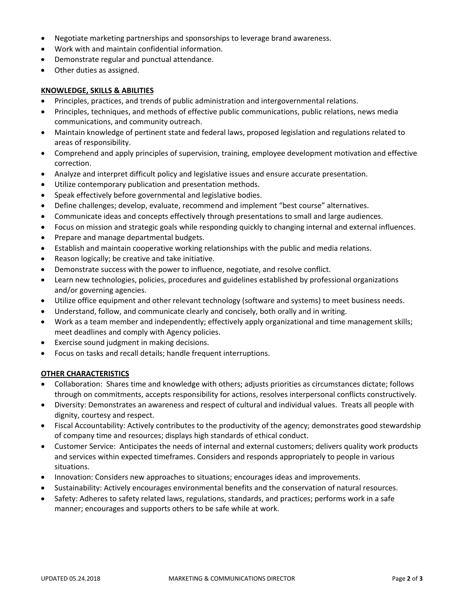- Negotiate marketing partnerships and sponsorships to leverage brand awareness.
- Work with and maintain confidential information.
- Demonstrate regular and punctual attendance.
- Other duties as assigned.

#### **KNOWLEDGE, SKILLS & ABILITIES**

- Principles, practices, and trends of public administration and intergovernmental relations.
- Principles, techniques, and methods of effective public communications, public relations, news media communications, and community outreach.
- Maintain knowledge of pertinent state and federal laws, proposed legislation and regulations related to areas of responsibility.
- Comprehend and apply principles of supervision, training, employee development motivation and effective correction.
- Analyze and interpret difficult policy and legislative issues and ensure accurate presentation.
- Utilize contemporary publication and presentation methods.
- Speak effectively before governmental and legislative bodies.
- Define challenges; develop, evaluate, recommend and implement "best course" alternatives.
- Communicate ideas and concepts effectively through presentations to small and large audiences.
- Focus on mission and strategic goals while responding quickly to changing internal and external influences.
- Prepare and manage departmental budgets.
- Establish and maintain cooperative working relationships with the public and media relations.
- Reason logically; be creative and take initiative.
- Demonstrate success with the power to influence, negotiate, and resolve conflict.
- Learn new technologies, policies, procedures and guidelines established by professional organizations and/or governing agencies.
- Utilize office equipment and other relevant technology (software and systems) to meet business needs.
- Understand, follow, and communicate clearly and concisely, both orally and in writing.
- Work as a team member and independently; effectively apply organizational and time management skills; meet deadlines and comply with Agency policies.
- Exercise sound judgment in making decisions.
- Focus on tasks and recall details; handle frequent interruptions.

## **OTHER CHARACTERISTICS**

- Collaboration: Shares time and knowledge with others; adjusts priorities as circumstances dictate; follows through on commitments, accepts responsibility for actions, resolves interpersonal conflicts constructively.
- Diversity: Demonstrates an awareness and respect of cultural and individual values. Treats all people with dignity, courtesy and respect.
- Fiscal Accountability: Actively contributes to the productivity of the agency; demonstrates good stewardship of company time and resources; displays high standards of ethical conduct.
- Customer Service: Anticipates the needs of internal and external customers; delivers quality work products and services within expected timeframes. Considers and responds appropriately to people in various situations.
- Innovation: Considers new approaches to situations; encourages ideas and improvements.
- Sustainability: Actively encourages environmental benefits and the conservation of natural resources.
- Safety: Adheres to safety related laws, regulations, standards, and practices; performs work in a safe manner; encourages and supports others to be safe while at work.